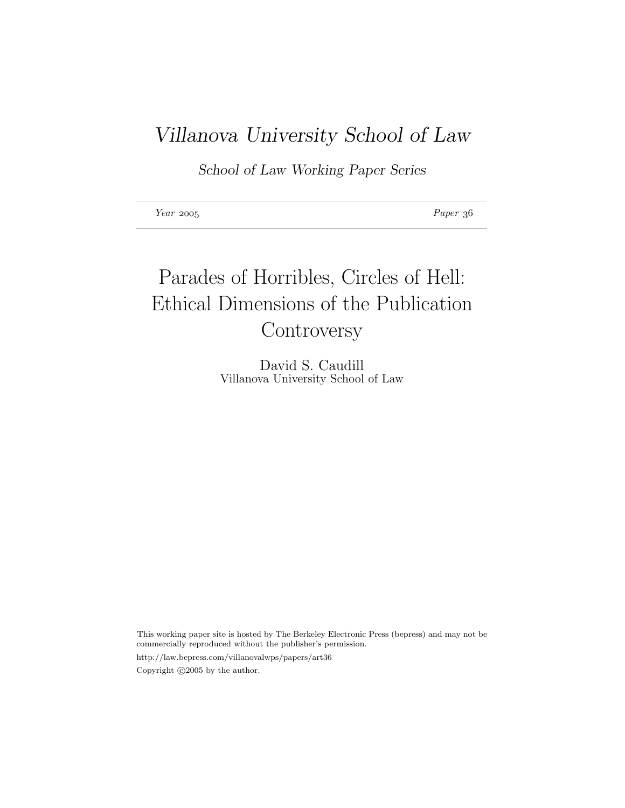# Villanova University School of Law

School of Law Working Paper Series

Year 2005 Paper 36

# Parades of Horribles, Circles of Hell: Ethical Dimensions of the Publication **Controversy**

David S. Caudill Villanova University School of Law

This working paper site is hosted by The Berkeley Electronic Press (bepress) and may not be commercially reproduced without the publisher's permission.

http://law.bepress.com/villanovalwps/papers/art36 Copyright  $\odot$ 2005 by the author.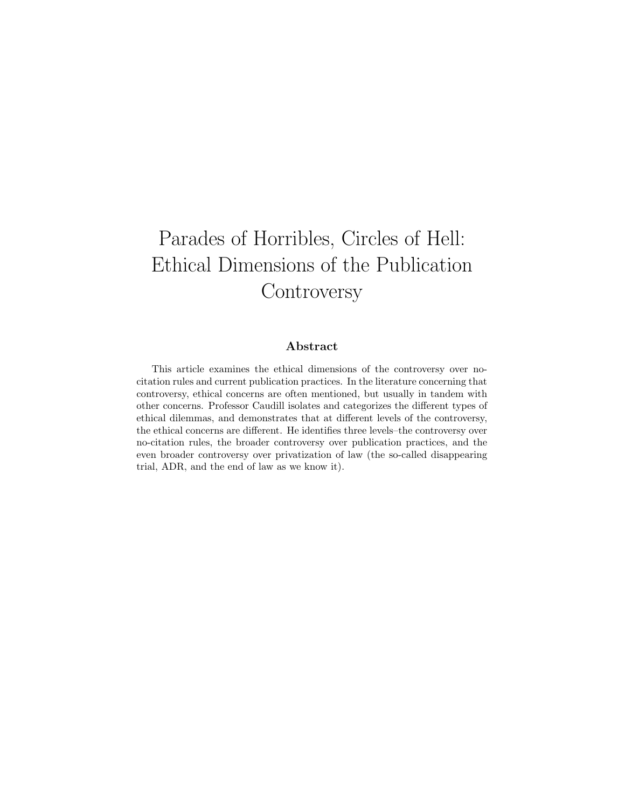# Parades of Horribles, Circles of Hell: Ethical Dimensions of the Publication **Controversy**

#### Abstract

This article examines the ethical dimensions of the controversy over nocitation rules and current publication practices. In the literature concerning that controversy, ethical concerns are often mentioned, but usually in tandem with other concerns. Professor Caudill isolates and categorizes the different types of ethical dilemmas, and demonstrates that at different levels of the controversy, the ethical concerns are different. He identifies three levels–the controversy over no-citation rules, the broader controversy over publication practices, and the even broader controversy over privatization of law (the so-called disappearing trial, ADR, and the end of law as we know it).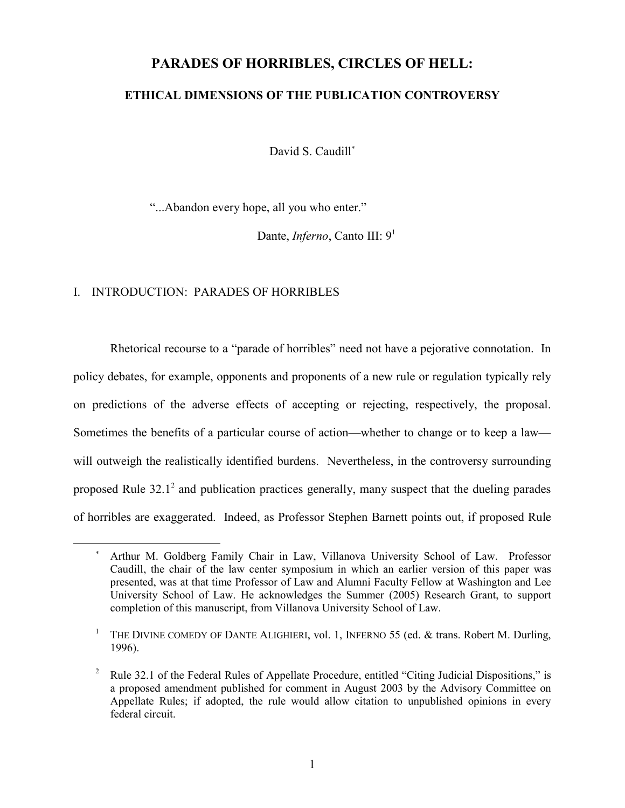## **PARADES OF HORRIBLES, CIRCLES OF HELL:**

#### **ETHICAL DIMENSIONS OF THE PUBLICATION CONTROVERSY**

David S. Caudill<sup>\*</sup>

"...Abandon every hope, all you who enter."

Dante, *Inferno*, Canto III: 9<sup>1</sup>

#### I. INTRODUCTION: PARADES OF HORRIBLES

Rhetorical recourse to a "parade of horribles" need not have a pejorative connotation. In policy debates, for example, opponents and proponents of a new rule or regulation typically rely on predictions of the adverse effects of accepting or rejecting, respectively, the proposal. Sometimes the benefits of a particular course of action—whether to change or to keep a law will outweigh the realistically identified burdens. Nevertheless, in the controversy surrounding proposed Rule  $32.1^2$  and publication practices generally, many suspect that the dueling parades of horribles are exaggerated. Indeed, as Professor Stephen Barnett points out, if proposed Rule

Arthur M. Goldberg Family Chair in Law, Villanova University School of Law. Professor Caudill, the chair of the law center symposium in which an earlier version of this paper was presented, was at that time Professor of Law and Alumni Faculty Fellow at Washington and Lee University School of Law. He acknowledges the Summer (2005) Research Grant, to support completion of this manuscript, from Villanova University School of Law.

<sup>&</sup>lt;sup>1</sup> THE DIVINE COMEDY OF DANTE ALIGHIERI, vol. 1, INFERNO 55 (ed.  $&$  trans. Robert M. Durling, 1996).

<sup>&</sup>lt;sup>2</sup> Rule 32.1 of the Federal Rules of Appellate Procedure, entitled "Citing Judicial Dispositions," is a proposed amendment published for comment in August 2003 by the Advisory Committee on Appellate Rules; if adopted, the rule would allow citation to unpublished opinions in every federal circuit.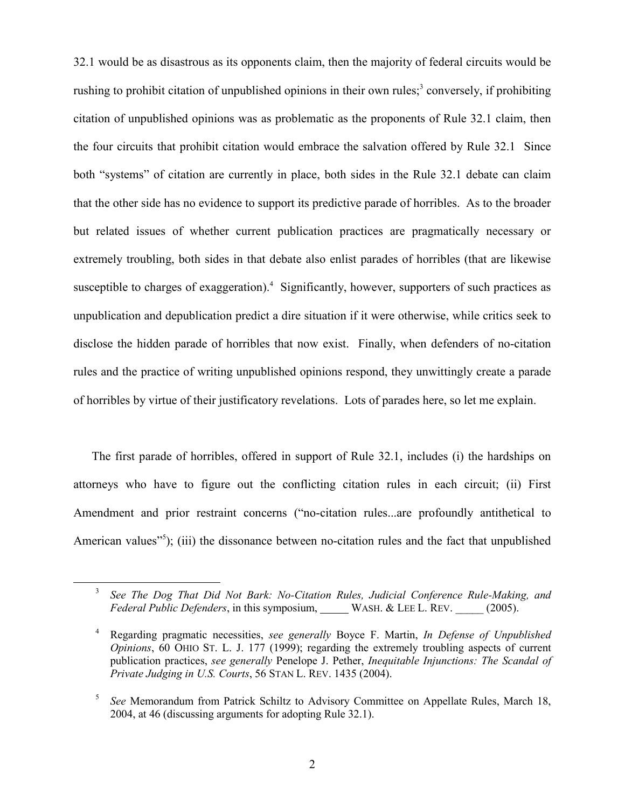32.1 would be as disastrous as its opponents claim, then the majority of federal circuits would be rushing to prohibit citation of unpublished opinions in their own rules;<sup>3</sup> conversely, if prohibiting citation of unpublished opinions was as problematic as the proponents of Rule 32.1 claim, then the four circuits that prohibit citation would embrace the salvation offered by Rule 32.1 Since both "systems" of citation are currently in place, both sides in the Rule 32.1 debate can claim that the other side has no evidence to support its predictive parade of horribles. As to the broader but related issues of whether current publication practices are pragmatically necessary or extremely troubling, both sides in that debate also enlist parades of horribles (that are likewise susceptible to charges of exaggeration).<sup>4</sup> Significantly, however, supporters of such practices as unpublication and depublication predict a dire situation if it were otherwise, while critics seek to disclose the hidden parade of horribles that now exist. Finally, when defenders of no-citation rules and the practice of writing unpublished opinions respond, they unwittingly create a parade of horribles by virtue of their justificatory revelations. Lots of parades here, so let me explain.

The first parade of horribles, offered in support of Rule 32.1, includes (i) the hardships on attorneys who have to figure out the conflicting citation rules in each circuit; (ii) First Amendment and prior restraint concerns ("no-citation rules...are profoundly antithetical to American values<sup>75</sup>); (iii) the dissonance between no-citation rules and the fact that unpublished

<sup>3</sup> *See The Dog That Did Not Bark: No-Citation Rules, Judicial Conference Rule-Making, and Federal Public Defenders*, in this symposium, WASH. & LEE L. REV. (2005).

<sup>4</sup> Regarding pragmatic necessities, *see generally* Boyce F. Martin, *In Defense of Unpublished Opinions*, 60 OHIO ST. L. J. 177 (1999); regarding the extremely troubling aspects of current publication practices, *see generally* Penelope J. Pether, *Inequitable Injunctions: The Scandal of Private Judging in U.S. Courts*, 56 STAN L. REV. 1435 (2004).

<sup>&</sup>lt;sup>5</sup> *See* Memorandum from Patrick Schiltz to Advisory Committee on Appellate Rules, March 18, 2004, at 46 (discussing arguments for adopting Rule 32.1).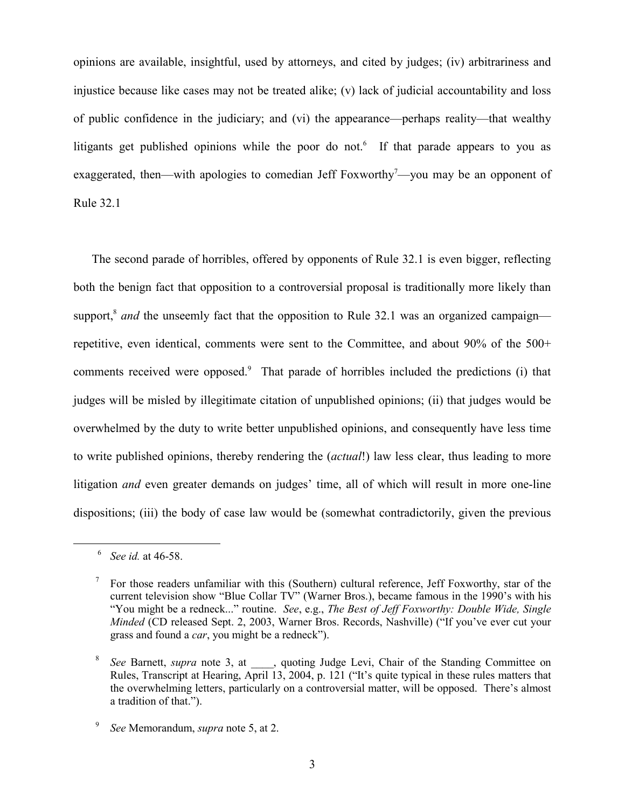opinions are available, insightful, used by attorneys, and cited by judges; (iv) arbitrariness and injustice because like cases may not be treated alike; (v) lack of judicial accountability and loss of public confidence in the judiciary; and (vi) the appearance—perhaps reality—that wealthy litigants get published opinions while the poor do not.<sup>6</sup> If that parade appears to you as exaggerated, then—with apologies to comedian Jeff Foxworthy<sup>7</sup>—you may be an opponent of Rule 32.1

The second parade of horribles, offered by opponents of Rule 32.1 is even bigger, reflecting both the benign fact that opposition to a controversial proposal is traditionally more likely than support,<sup>8</sup> *and* the unseemly fact that the opposition to Rule 32.1 was an organized campaign repetitive, even identical, comments were sent to the Committee, and about 90% of the 500+ comments received were opposed.<sup>9</sup> That parade of horribles included the predictions (i) that judges will be misled by illegitimate citation of unpublished opinions; (ii) that judges would be overwhelmed by the duty to write better unpublished opinions, and consequently have less time to write published opinions, thereby rendering the (*actual*!) law less clear, thus leading to more litigation *and* even greater demands on judges' time, all of which will result in more one-line dispositions; (iii) the body of case law would be (somewhat contradictorily, given the previous

<sup>6</sup> *See id.* at 46-58.

 $\frac{7}{10}$  For those readers unfamiliar with this (Southern) cultural reference, Jeff Foxworthy, star of the current television show "Blue Collar TV" (Warner Bros.), became famous in the 1990's with his "You might be a redneck..." routine. *See*, e.g., *The Best of Jeff Foxworthy: Double Wide, Single Minded* (CD released Sept. 2, 2003, Warner Bros. Records, Nashville) ("If you've ever cut your grass and found a *car*, you might be a redneck").

<sup>&</sup>lt;sup>8</sup> *See* Barnett, *supra* note 3, at , quoting Judge Levi, Chair of the Standing Committee on Rules, Transcript at Hearing, April 13, 2004, p. 121 ("It's quite typical in these rules matters that the overwhelming letters, particularly on a controversial matter, will be opposed. There's almost a tradition of that.").

<sup>9</sup> *See* Memorandum, *supra* note 5, at 2.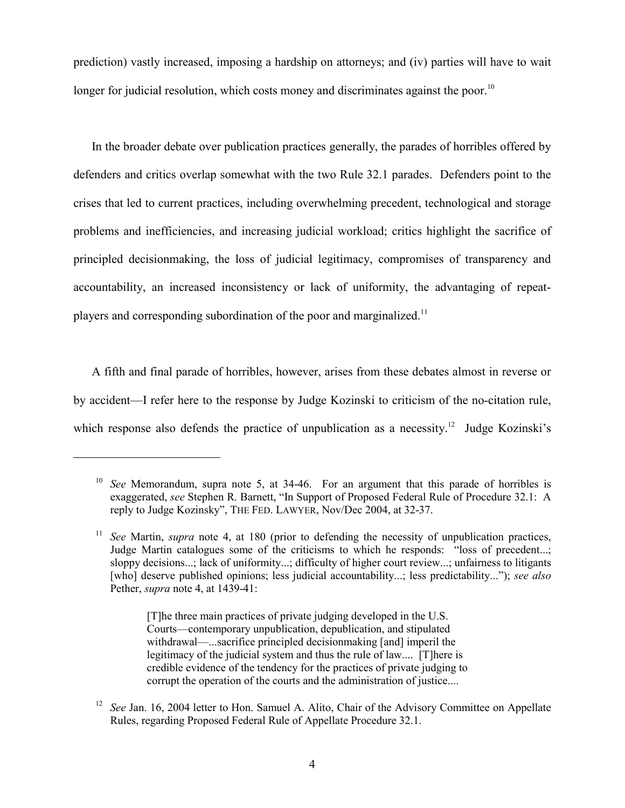prediction) vastly increased, imposing a hardship on attorneys; and (iv) parties will have to wait longer for judicial resolution, which costs money and discriminates against the poor.<sup>10</sup>

In the broader debate over publication practices generally, the parades of horribles offered by defenders and critics overlap somewhat with the two Rule 32.1 parades. Defenders point to the crises that led to current practices, including overwhelming precedent, technological and storage problems and inefficiencies, and increasing judicial workload; critics highlight the sacrifice of principled decisionmaking, the loss of judicial legitimacy, compromises of transparency and accountability, an increased inconsistency or lack of uniformity, the advantaging of repeatplayers and corresponding subordination of the poor and marginalized.<sup>11</sup>

A fifth and final parade of horribles, however, arises from these debates almost in reverse or by accident—I refer here to the response by Judge Kozinski to criticism of the no-citation rule, which response also defends the practice of unpublication as a necessity.<sup>12</sup> Judge Kozinski's

[T]he three main practices of private judging developed in the U.S. Courts—contemporary unpublication, depublication, and stipulated withdrawal—...sacrifice principled decisionmaking [and] imperil the legitimacy of the judicial system and thus the rule of law.... [T]here is credible evidence of the tendency for the practices of private judging to corrupt the operation of the courts and the administration of justice....

<sup>10</sup> *See* Memorandum, supra note 5, at 34-46. For an argument that this parade of horribles is exaggerated, *see* Stephen R. Barnett, "In Support of Proposed Federal Rule of Procedure 32.1: A reply to Judge Kozinsky", THE FED. LAWYER, Nov/Dec 2004, at 32-37.

<sup>&</sup>lt;sup>11</sup> *See* Martin, *supra* note 4, at 180 (prior to defending the necessity of unpublication practices, Judge Martin catalogues some of the criticisms to which he responds: "loss of precedent...; sloppy decisions...; lack of uniformity...; difficulty of higher court review...; unfairness to litigants [who] deserve published opinions; less judicial accountability...; less predictability..."); *see also* Pether, *supra* note 4, at 1439-41:

See Jan. 16, 2004 letter to Hon. Samuel A. Alito, Chair of the Advisory Committee on Appellate Rules, regarding Proposed Federal Rule of Appellate Procedure 32.1.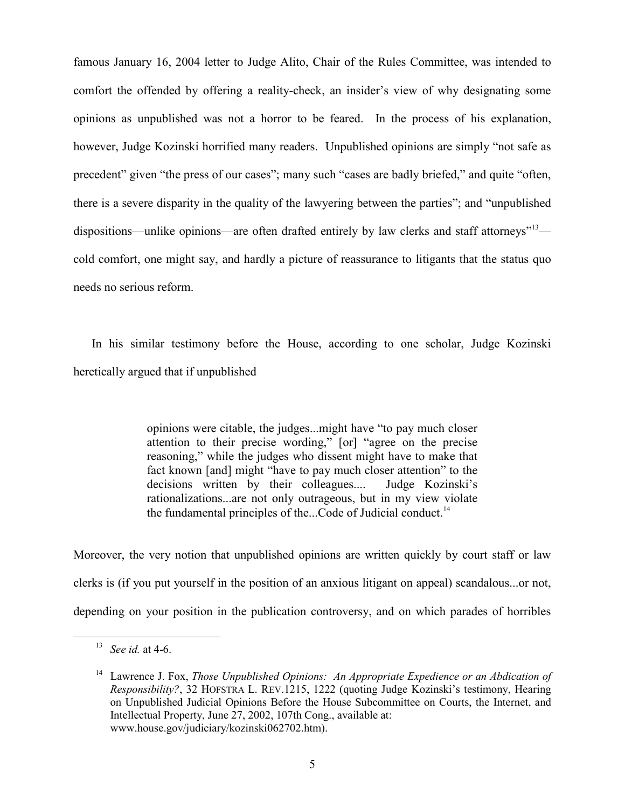famous January 16, 2004 letter to Judge Alito, Chair of the Rules Committee, was intended to comfort the offended by offering a reality-check, an insider's view of why designating some opinions as unpublished was not a horror to be feared. In the process of his explanation, however, Judge Kozinski horrified many readers. Unpublished opinions are simply "not safe as precedent" given "the press of our cases"; many such "cases are badly briefed," and quite "often, there is a severe disparity in the quality of the lawyering between the parties"; and "unpublished dispositions—unlike opinions—are often drafted entirely by law clerks and staff attorneys"<sup>13</sup> cold comfort, one might say, and hardly a picture of reassurance to litigants that the status quo needs no serious reform.

In his similar testimony before the House, according to one scholar, Judge Kozinski heretically argued that if unpublished

> opinions were citable, the judges...might have "to pay much closer attention to their precise wording," [or] "agree on the precise reasoning," while the judges who dissent might have to make that fact known [and] might "have to pay much closer attention" to the decisions written by their colleagues.... Judge Kozinski's rationalizations...are not only outrageous, but in my view violate the fundamental principles of the...Code of Judicial conduct. $<sup>14</sup>$ </sup>

Moreover, the very notion that unpublished opinions are written quickly by court staff or law clerks is (if you put yourself in the position of an anxious litigant on appeal) scandalous...or not, depending on your position in the publication controversy, and on which parades of horribles

<sup>13</sup> *See id.* at 4-6.

<sup>&</sup>lt;sup>14</sup> Lawrence J. Fox, *Those Unpublished Opinions: An Appropriate Expedience or an Abdication of Responsibility?*, 32 HOFSTRA L. REV.1215, 1222 (quoting Judge Kozinski's testimony, Hearing on Unpublished Judicial Opinions Before the House Subcommittee on Courts, the Internet, and Intellectual Property, June 27, 2002, 107th Cong., available at: www.house.gov/judiciary/kozinski062702.htm).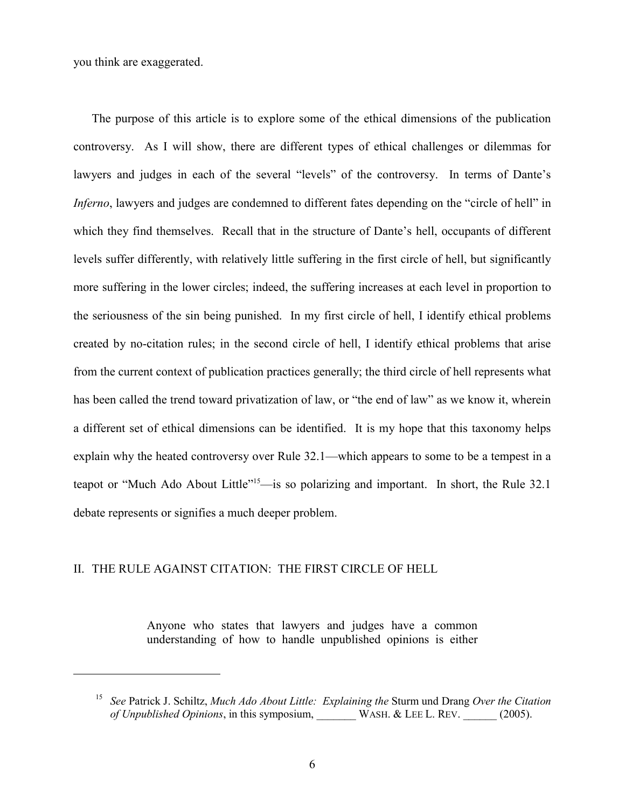you think are exaggerated.

The purpose of this article is to explore some of the ethical dimensions of the publication controversy. As I will show, there are different types of ethical challenges or dilemmas for lawyers and judges in each of the several "levels" of the controversy. In terms of Dante's *Inferno*, lawyers and judges are condemned to different fates depending on the "circle of hell" in which they find themselves. Recall that in the structure of Dante's hell, occupants of different levels suffer differently, with relatively little suffering in the first circle of hell, but significantly more suffering in the lower circles; indeed, the suffering increases at each level in proportion to the seriousness of the sin being punished. In my first circle of hell, I identify ethical problems created by no-citation rules; in the second circle of hell, I identify ethical problems that arise from the current context of publication practices generally; the third circle of hell represents what has been called the trend toward privatization of law, or "the end of law" as we know it, wherein a different set of ethical dimensions can be identified. It is my hope that this taxonomy helps explain why the heated controversy over Rule 32.1—which appears to some to be a tempest in a teapot or "Much Ado About Little"<sup>15</sup>—is so polarizing and important. In short, the Rule 32.1 debate represents or signifies a much deeper problem.

#### II. THE RULE AGAINST CITATION: THE FIRST CIRCLE OF HELL

Anyone who states that lawyers and judges have a common understanding of how to handle unpublished opinions is either

<sup>15</sup> *See* Patrick J. Schiltz, *Much Ado About Little: Explaining the* Sturm und Drang *Over the Citation of Unpublished Opinions*, in this symposium, WASH. & LEE L. REV. (2005).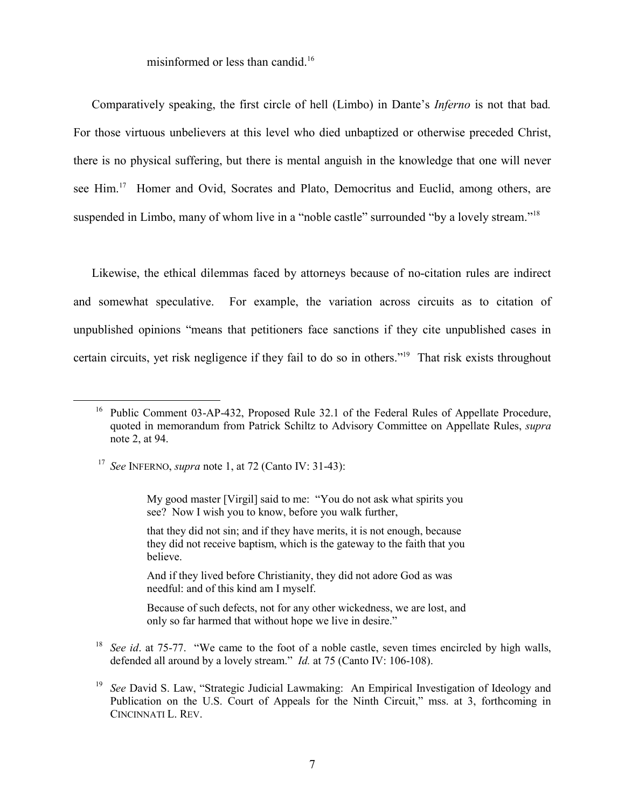misinformed or less than candid.<sup>16</sup>

Comparatively speaking, the first circle of hell (Limbo) in Dante's *Inferno* is not that bad*.* For those virtuous unbelievers at this level who died unbaptized or otherwise preceded Christ, there is no physical suffering, but there is mental anguish in the knowledge that one will never see Him.<sup>17</sup> Homer and Ovid, Socrates and Plato, Democritus and Euclid, among others, are suspended in Limbo, many of whom live in a "noble castle" surrounded "by a lovely stream."<sup>18</sup>

Likewise, the ethical dilemmas faced by attorneys because of no-citation rules are indirect and somewhat speculative. For example, the variation across circuits as to citation of unpublished opinions "means that petitioners face sanctions if they cite unpublished cases in certain circuits, yet risk negligence if they fail to do so in others."19 That risk exists throughout

that they did not sin; and if they have merits, it is not enough, because they did not receive baptism, which is the gateway to the faith that you believe.

And if they lived before Christianity, they did not adore God as was needful: and of this kind am I myself.

Because of such defects, not for any other wickedness, we are lost, and only so far harmed that without hope we live in desire."

<sup>18</sup> *See id.* at 75-77. "We came to the foot of a noble castle, seven times encircled by high walls, defended all around by a lovely stream." *Id.* at 75 (Canto IV: 106-108).

<sup>&</sup>lt;sup>16</sup> Public Comment 03-AP-432, Proposed Rule 32.1 of the Federal Rules of Appellate Procedure, quoted in memorandum from Patrick Schiltz to Advisory Committee on Appellate Rules, *supra* note 2, at 94.

<sup>17</sup> *See* INFERNO, *supra* note 1, at 72 (Canto IV: 31-43):

My good master [Virgil] said to me: "You do not ask what spirits you see? Now I wish you to know, before you walk further,

<sup>19</sup> *See* David S. Law, "Strategic Judicial Lawmaking: An Empirical Investigation of Ideology and Publication on the U.S. Court of Appeals for the Ninth Circuit," mss. at 3, forthcoming in CINCINNATI L. REV.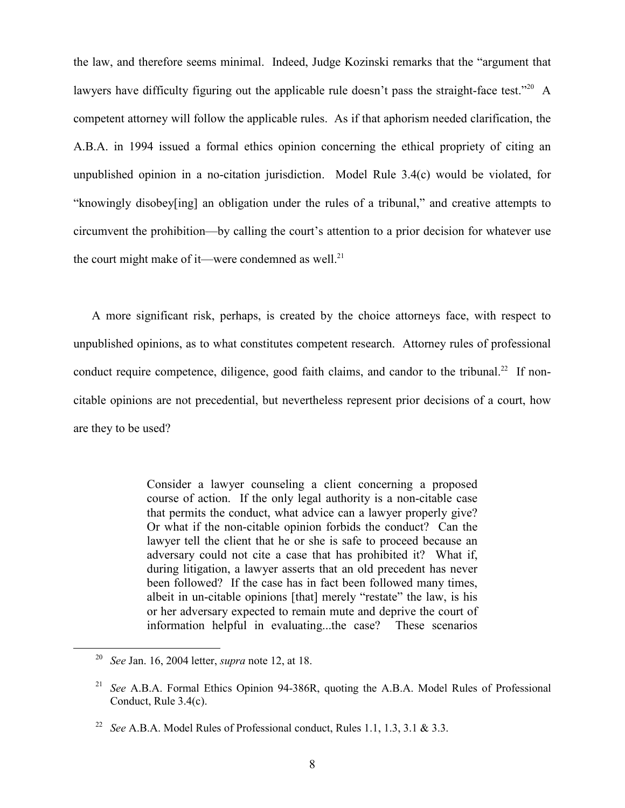the law, and therefore seems minimal. Indeed, Judge Kozinski remarks that the "argument that lawyers have difficulty figuring out the applicable rule doesn't pass the straight-face test."<sup>20</sup> A competent attorney will follow the applicable rules. As if that aphorism needed clarification, the A.B.A. in 1994 issued a formal ethics opinion concerning the ethical propriety of citing an unpublished opinion in a no-citation jurisdiction. Model Rule 3.4(c) would be violated, for "knowingly disobey[ing] an obligation under the rules of a tribunal," and creative attempts to circumvent the prohibition—by calling the court's attention to a prior decision for whatever use the court might make of it—were condemned as well.<sup>21</sup>

A more significant risk, perhaps, is created by the choice attorneys face, with respect to unpublished opinions, as to what constitutes competent research. Attorney rules of professional conduct require competence, diligence, good faith claims, and candor to the tribunal.<sup>22</sup> If noncitable opinions are not precedential, but nevertheless represent prior decisions of a court, how are they to be used?

> Consider a lawyer counseling a client concerning a proposed course of action. If the only legal authority is a non-citable case that permits the conduct, what advice can a lawyer properly give? Or what if the non-citable opinion forbids the conduct? Can the lawyer tell the client that he or she is safe to proceed because an adversary could not cite a case that has prohibited it? What if, during litigation, a lawyer asserts that an old precedent has never been followed? If the case has in fact been followed many times, albeit in un-citable opinions [that] merely "restate" the law, is his or her adversary expected to remain mute and deprive the court of information helpful in evaluating...the case? These scenarios

<sup>20</sup> *See* Jan. 16, 2004 letter, *supra* note 12, at 18.

<sup>21</sup> *See* A.B.A. Formal Ethics Opinion 94-386R, quoting the A.B.A. Model Rules of Professional Conduct, Rule 3.4(c).

<sup>22</sup> *See* A.B.A. Model Rules of Professional conduct, Rules 1.1, 1.3, 3.1 & 3.3.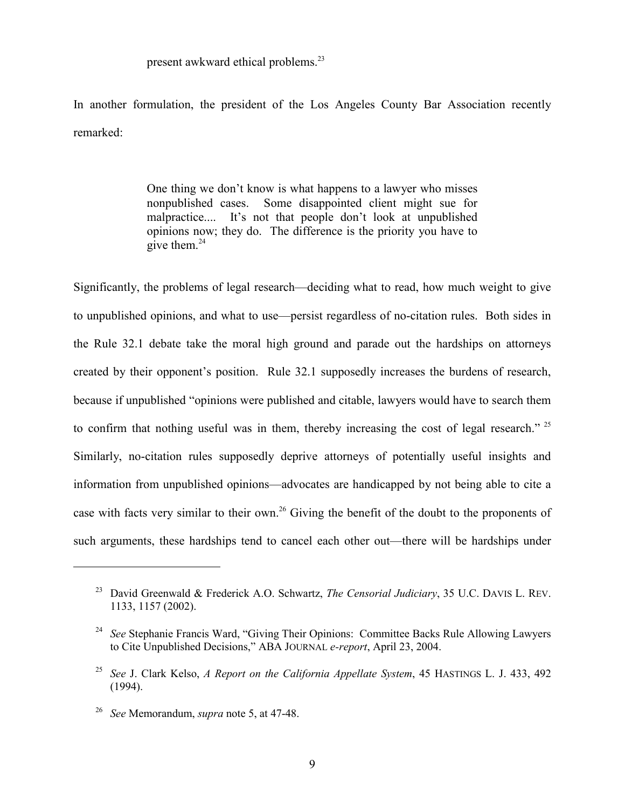present awkward ethical problems.<sup>23</sup>

In another formulation, the president of the Los Angeles County Bar Association recently remarked:

> One thing we don't know is what happens to a lawyer who misses nonpublished cases. Some disappointed client might sue for malpractice.... It's not that people don't look at unpublished opinions now; they do. The difference is the priority you have to give them.<sup>24</sup>

Significantly, the problems of legal research—deciding what to read, how much weight to give to unpublished opinions, and what to use—persist regardless of no-citation rules. Both sides in the Rule 32.1 debate take the moral high ground and parade out the hardships on attorneys created by their opponent's position. Rule 32.1 supposedly increases the burdens of research, because if unpublished "opinions were published and citable, lawyers would have to search them to confirm that nothing useful was in them, thereby increasing the cost of legal research." <sup>25</sup> Similarly, no-citation rules supposedly deprive attorneys of potentially useful insights and information from unpublished opinions—advocates are handicapped by not being able to cite a case with facts very similar to their own.<sup>26</sup> Giving the benefit of the doubt to the proponents of such arguments, these hardships tend to cancel each other out—there will be hardships under

<sup>23</sup> David Greenwald & Frederick A.O. Schwartz, *The Censorial Judiciary*, 35 U.C. DAVIS L. REV. 1133, 1157 (2002).

<sup>24</sup> *See* Stephanie Francis Ward, "Giving Their Opinions: Committee Backs Rule Allowing Lawyers to Cite Unpublished Decisions," ABA JOURNAL *e-report*, April 23, 2004.

<sup>25</sup> *See* J. Clark Kelso, *A Report on the California Appellate System*, 45 HASTINGS L. J. 433, 492 (1994).

<sup>26</sup> *See* Memorandum, *supra* note 5, at 47-48.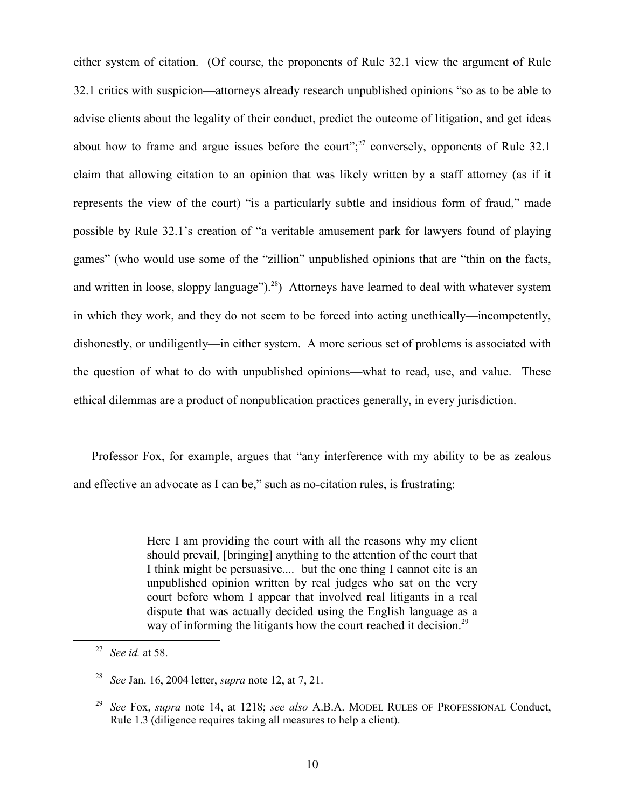either system of citation. (Of course, the proponents of Rule 32.1 view the argument of Rule 32.1 critics with suspicion—attorneys already research unpublished opinions "so as to be able to advise clients about the legality of their conduct, predict the outcome of litigation, and get ideas about how to frame and argue issues before the court"; $^{27}$  conversely, opponents of Rule 32.1 claim that allowing citation to an opinion that was likely written by a staff attorney (as if it represents the view of the court) "is a particularly subtle and insidious form of fraud," made possible by Rule 32.1's creation of "a veritable amusement park for lawyers found of playing games" (who would use some of the "zillion" unpublished opinions that are "thin on the facts, and written in loose, sloppy language").<sup>28</sup>) Attorneys have learned to deal with whatever system in which they work, and they do not seem to be forced into acting unethically—incompetently, dishonestly, or undiligently—in either system. A more serious set of problems is associated with the question of what to do with unpublished opinions—what to read, use, and value. These ethical dilemmas are a product of nonpublication practices generally, in every jurisdiction.

Professor Fox, for example, argues that "any interference with my ability to be as zealous and effective an advocate as I can be," such as no-citation rules, is frustrating:

> Here I am providing the court with all the reasons why my client should prevail, [bringing] anything to the attention of the court that I think might be persuasive.... but the one thing I cannot cite is an unpublished opinion written by real judges who sat on the very court before whom I appear that involved real litigants in a real dispute that was actually decided using the English language as a way of informing the litigants how the court reached it decision.<sup>29</sup>

<sup>27</sup> *See id.* at 58.

<sup>28</sup> *See* Jan. 16, 2004 letter, *supra* note 12, at 7, 21.

<sup>29</sup> *See* Fox, *supra* note 14, at 1218; *see also* A.B.A. MODEL RULES OF PROFESSIONAL Conduct, Rule 1.3 (diligence requires taking all measures to help a client).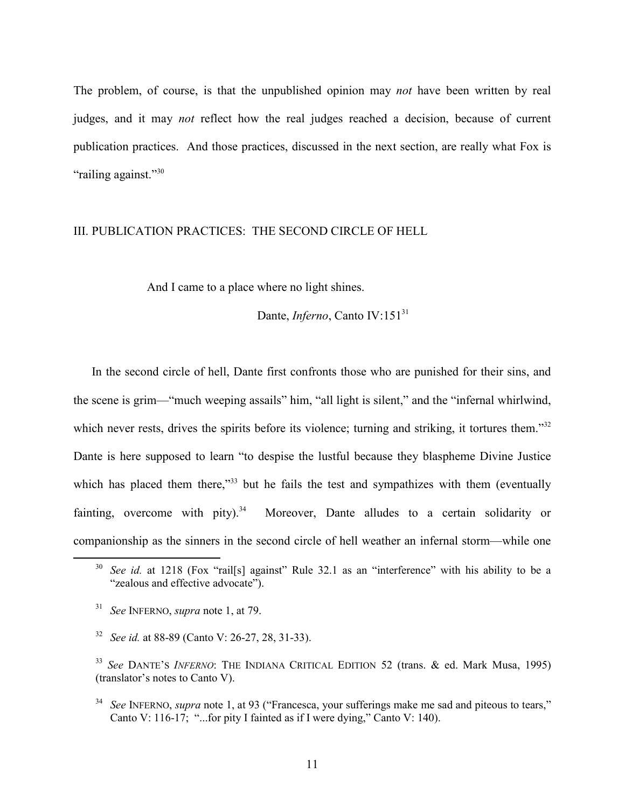The problem, of course, is that the unpublished opinion may *not* have been written by real judges, and it may *not* reflect how the real judges reached a decision, because of current publication practices. And those practices, discussed in the next section, are really what Fox is "railing against."<sup>30</sup>

### III. PUBLICATION PRACTICES: THE SECOND CIRCLE OF HELL

And I came to a place where no light shines.

### Dante, *Inferno*, Canto IV:151<sup>31</sup>

In the second circle of hell, Dante first confronts those who are punished for their sins, and the scene is grim—"much weeping assails" him, "all light is silent," and the "infernal whirlwind, which never rests, drives the spirits before its violence; turning and striking, it tortures them."<sup>32</sup> Dante is here supposed to learn "to despise the lustful because they blaspheme Divine Justice which has placed them there,<sup>333</sup> but he fails the test and sympathizes with them (eventually fainting, overcome with pity).<sup>34</sup> Moreover, Dante alludes to a certain solidarity or companionship as the sinners in the second circle of hell weather an infernal storm—while one

<sup>&</sup>lt;sup>30</sup> *See id.* at 1218 (Fox "rail[s] against" Rule 32.1 as an "interference" with his ability to be a "zealous and effective advocate").

<sup>31</sup> *See* INFERNO, *supra* note 1, at 79.

<sup>32</sup> *See id.* at 88-89 (Canto V: 26-27, 28, 31-33).

<sup>33</sup> *See* DANTE'S *INFERNO*: THE INDIANA CRITICAL EDITION 52 (trans. & ed. Mark Musa, 1995) (translator's notes to Canto V).

<sup>34</sup> *See* INFERNO, *supra* note 1, at 93 ("Francesca, your sufferings make me sad and piteous to tears," Canto V: 116-17; "...for pity I fainted as if I were dying," Canto V: 140).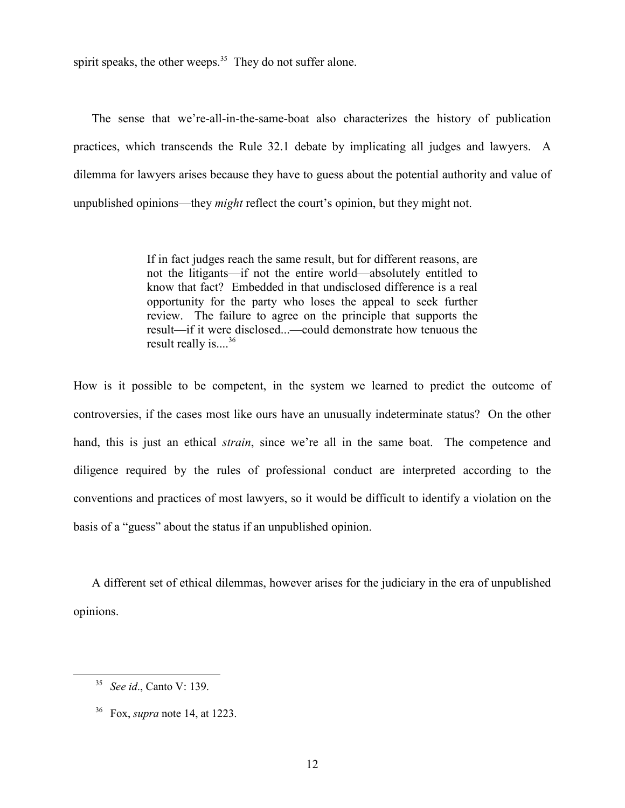spirit speaks, the other weeps. $35$  They do not suffer alone.

The sense that we're-all-in-the-same-boat also characterizes the history of publication practices, which transcends the Rule 32.1 debate by implicating all judges and lawyers. A dilemma for lawyers arises because they have to guess about the potential authority and value of unpublished opinions—they *might* reflect the court's opinion, but they might not.

> If in fact judges reach the same result, but for different reasons, are not the litigants—if not the entire world—absolutely entitled to know that fact? Embedded in that undisclosed difference is a real opportunity for the party who loses the appeal to seek further review. The failure to agree on the principle that supports the result—if it were disclosed...—could demonstrate how tenuous the result really is...<sup>36</sup>

How is it possible to be competent, in the system we learned to predict the outcome of controversies, if the cases most like ours have an unusually indeterminate status? On the other hand, this is just an ethical *strain*, since we're all in the same boat. The competence and diligence required by the rules of professional conduct are interpreted according to the conventions and practices of most lawyers, so it would be difficult to identify a violation on the basis of a "guess" about the status if an unpublished opinion.

A different set of ethical dilemmas, however arises for the judiciary in the era of unpublished opinions.

<sup>35</sup> *See id*., Canto V: 139.

<sup>36</sup> Fox, *supra* note 14, at 1223.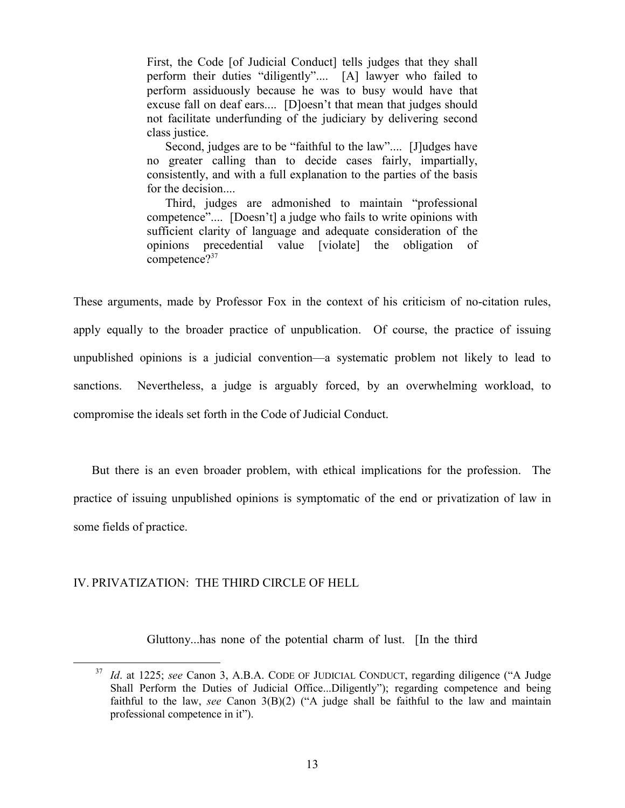First, the Code [of Judicial Conduct] tells judges that they shall perform their duties "diligently".... [A] lawyer who failed to perform assiduously because he was to busy would have that excuse fall on deaf ears.... [D]oesn't that mean that judges should not facilitate underfunding of the judiciary by delivering second class justice.

 Second, judges are to be "faithful to the law".... [J]udges have no greater calling than to decide cases fairly, impartially, consistently, and with a full explanation to the parties of the basis for the decision....

 Third, judges are admonished to maintain "professional competence".... [Doesn't] a judge who fails to write opinions with sufficient clarity of language and adequate consideration of the opinions precedential value [violate] the obligation of competence?<sup>37</sup>

These arguments, made by Professor Fox in the context of his criticism of no-citation rules, apply equally to the broader practice of unpublication. Of course, the practice of issuing unpublished opinions is a judicial convention—a systematic problem not likely to lead to sanctions. Nevertheless, a judge is arguably forced, by an overwhelming workload, to compromise the ideals set forth in the Code of Judicial Conduct.

But there is an even broader problem, with ethical implications for the profession. The practice of issuing unpublished opinions is symptomatic of the end or privatization of law in some fields of practice.

#### IV. PRIVATIZATION: THE THIRD CIRCLE OF HELL

Gluttony...has none of the potential charm of lust. [In the third

<sup>37</sup> *Id*. at 1225; *see* Canon 3, A.B.A. CODE OF JUDICIAL CONDUCT, regarding diligence ("A Judge Shall Perform the Duties of Judicial Office...Diligently"); regarding competence and being faithful to the law, *see* Canon 3(B)(2) ("A judge shall be faithful to the law and maintain professional competence in it").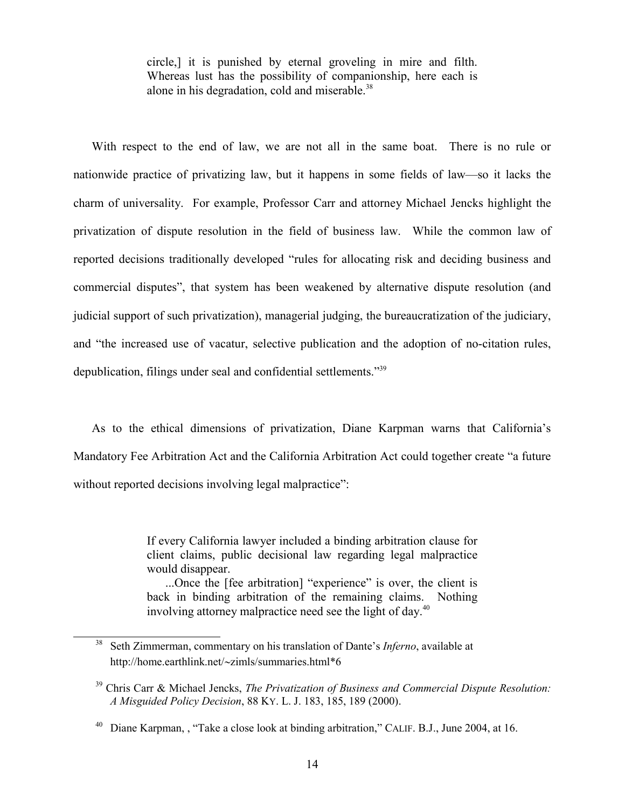circle,] it is punished by eternal groveling in mire and filth. Whereas lust has the possibility of companionship, here each is alone in his degradation, cold and miserable.<sup>38</sup>

With respect to the end of law, we are not all in the same boat. There is no rule or nationwide practice of privatizing law, but it happens in some fields of law—so it lacks the charm of universality. For example, Professor Carr and attorney Michael Jencks highlight the privatization of dispute resolution in the field of business law. While the common law of reported decisions traditionally developed "rules for allocating risk and deciding business and commercial disputes", that system has been weakened by alternative dispute resolution (and judicial support of such privatization), managerial judging, the bureaucratization of the judiciary, and "the increased use of vacatur, selective publication and the adoption of no-citation rules, depublication, filings under seal and confidential settlements."39

As to the ethical dimensions of privatization, Diane Karpman warns that California's Mandatory Fee Arbitration Act and the California Arbitration Act could together create "a future without reported decisions involving legal malpractice":

> If every California lawyer included a binding arbitration clause for client claims, public decisional law regarding legal malpractice would disappear.

> ...Once the [fee arbitration] "experience" is over, the client is back in binding arbitration of the remaining claims. Nothing involving attorney malpractice need see the light of day.<sup>40</sup>

<sup>38</sup> Seth Zimmerman, commentary on his translation of Dante's *Inferno*, available at http://home.earthlink.net/-zimls/summaries.html\*6

<sup>39</sup> Chris Carr & Michael Jencks, *The Privatization of Business and Commercial Dispute Resolution: A Misguided Policy Decision*, 88 KY. L. J. 183, 185, 189 (2000).

<sup>&</sup>lt;sup>40</sup> Diane Karpman, , "Take a close look at binding arbitration," CALIF. B.J., June 2004, at 16.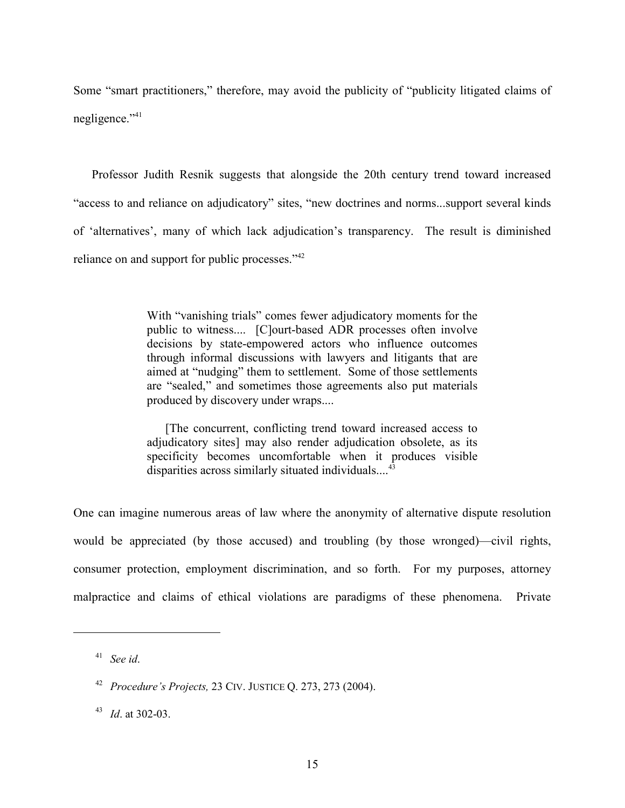Some "smart practitioners," therefore, may avoid the publicity of "publicity litigated claims of negligence."<sup>41</sup>

Professor Judith Resnik suggests that alongside the 20th century trend toward increased "access to and reliance on adjudicatory" sites, "new doctrines and norms...support several kinds of 'alternatives', many of which lack adjudication's transparency. The result is diminished reliance on and support for public processes."<sup>42</sup>

> With "vanishing trials" comes fewer adjudicatory moments for the public to witness.... [C]ourt-based ADR processes often involve decisions by state-empowered actors who influence outcomes through informal discussions with lawyers and litigants that are aimed at "nudging" them to settlement. Some of those settlements are "sealed," and sometimes those agreements also put materials produced by discovery under wraps....

> [The concurrent, conflicting trend toward increased access to adjudicatory sites] may also render adjudication obsolete, as its specificity becomes uncomfortable when it produces visible disparities across similarly situated individuals....

One can imagine numerous areas of law where the anonymity of alternative dispute resolution would be appreciated (by those accused) and troubling (by those wronged)—civil rights, consumer protection, employment discrimination, and so forth. For my purposes, attorney malpractice and claims of ethical violations are paradigms of these phenomena. Private

<sup>41</sup> *See id*.

<sup>42</sup> *Procedure's Projects,* 23 CIV. JUSTICE Q. 273, 273 (2004).

<sup>43</sup> *Id*. at 302-03.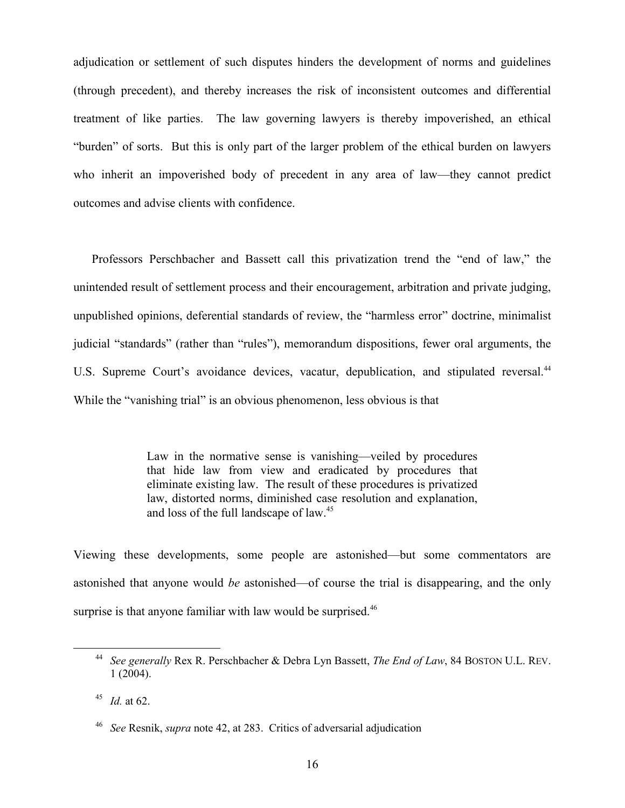adjudication or settlement of such disputes hinders the development of norms and guidelines (through precedent), and thereby increases the risk of inconsistent outcomes and differential treatment of like parties. The law governing lawyers is thereby impoverished, an ethical "burden" of sorts. But this is only part of the larger problem of the ethical burden on lawyers who inherit an impoverished body of precedent in any area of law—they cannot predict outcomes and advise clients with confidence.

Professors Perschbacher and Bassett call this privatization trend the "end of law," the unintended result of settlement process and their encouragement, arbitration and private judging, unpublished opinions, deferential standards of review, the "harmless error" doctrine, minimalist judicial "standards" (rather than "rules"), memorandum dispositions, fewer oral arguments, the U.S. Supreme Court's avoidance devices, vacatur, depublication, and stipulated reversal.<sup>44</sup> While the "vanishing trial" is an obvious phenomenon, less obvious is that

> Law in the normative sense is vanishing—veiled by procedures that hide law from view and eradicated by procedures that eliminate existing law. The result of these procedures is privatized law, distorted norms, diminished case resolution and explanation, and loss of the full landscape of law.<sup>45</sup>

Viewing these developments, some people are astonished—but some commentators are astonished that anyone would *be* astonished—of course the trial is disappearing, and the only surprise is that anyone familiar with law would be surprised.<sup>46</sup>

<sup>44</sup> *See generally* Rex R. Perschbacher & Debra Lyn Bassett, *The End of Law*, 84 BOSTON U.L. REV. 1 (2004).

<sup>45</sup> *Id.* at 62.

<sup>46</sup> *See* Resnik, *supra* note 42, at 283. Critics of adversarial adjudication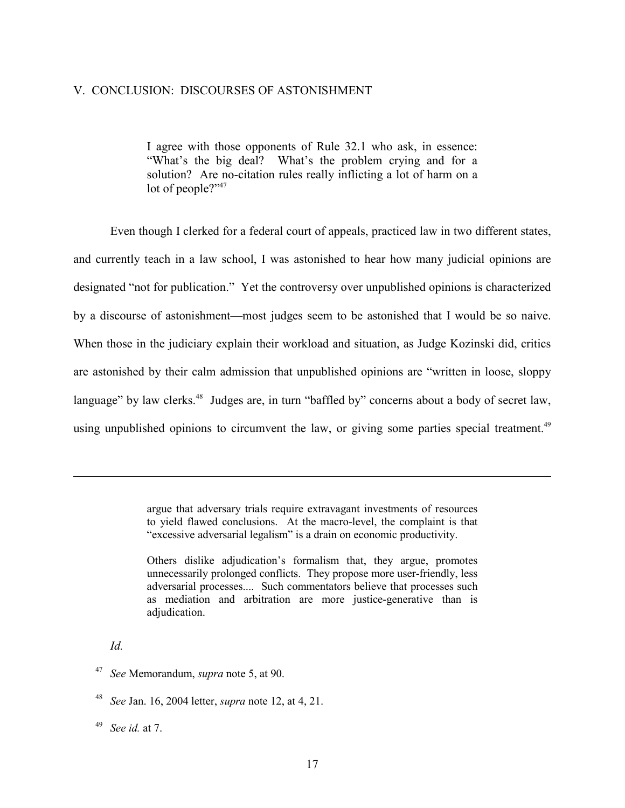#### V. CONCLUSION: DISCOURSES OF ASTONISHMENT

I agree with those opponents of Rule 32.1 who ask, in essence: "What's the big deal? What's the problem crying and for a solution? Are no-citation rules really inflicting a lot of harm on a lot of people?"<sup>47</sup>

Even though I clerked for a federal court of appeals, practiced law in two different states, and currently teach in a law school, I was astonished to hear how many judicial opinions are designated "not for publication." Yet the controversy over unpublished opinions is characterized by a discourse of astonishment—most judges seem to be astonished that I would be so naive. When those in the judiciary explain their workload and situation, as Judge Kozinski did, critics are astonished by their calm admission that unpublished opinions are "written in loose, sloppy language" by law clerks.<sup>48</sup> Judges are, in turn "baffled by" concerns about a body of secret law, using unpublished opinions to circumvent the law, or giving some parties special treatment.<sup>49</sup>

> argue that adversary trials require extravagant investments of resources to yield flawed conclusions. At the macro-level, the complaint is that "excessive adversarial legalism" is a drain on economic productivity.

> Others dislike adjudication's formalism that, they argue, promotes unnecessarily prolonged conflicts. They propose more user-friendly, less adversarial processes.... Such commentators believe that processes such as mediation and arbitration are more justice-generative than is adjudication.

*Id.* 

<sup>47</sup> *See* Memorandum, *supra* note 5, at 90.

<sup>48</sup> *See* Jan. 16, 2004 letter, *supra* note 12, at 4, 21.

<sup>49</sup> *See id.* at 7.